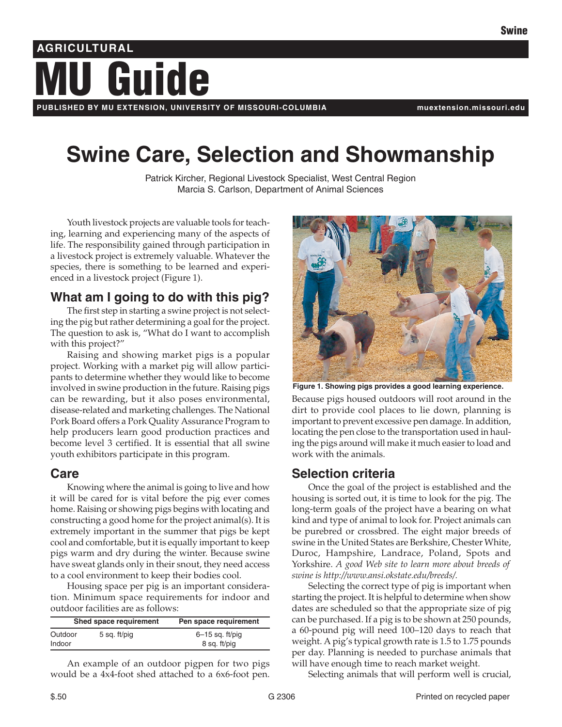# **Guide AGRICULTURAL**

**PUBLISHED BY MU EXTENSION, UNIVERSITY OF MISSOURI-COLUMBIA muextension.missouri.edu**

## **Swine Care, Selection and Showmanship**

Patrick Kircher, Regional Livestock Specialist, West Central Region Marcia S. Carlson, Department of Animal Sciences

Youth livestock projects are valuable tools for teaching, learning and experiencing many of the aspects of life. The responsibility gained through participation in a livestock project is extremely valuable. Whatever the species, there is something to be learned and experienced in a livestock project (Figure 1).

## **What am I going to do with this pig?**

The first step in starting a swine project is not selecting the pig but rather determining a goal for the project. The question to ask is, "What do I want to accomplish with this project?"

Raising and showing market pigs is a popular project. Working with a market pig will allow participants to determine whether they would like to become involved in swine production in the future. Raising pigs can be rewarding, but it also poses environmental, disease-related and marketing challenges. The National Pork Board offers a Pork Quality Assurance Program to help producers learn good production practices and become level 3 certified. It is essential that all swine youth exhibitors participate in this program.

## **Care**

Knowing where the animal is going to live and how it will be cared for is vital before the pig ever comes home. Raising or showing pigs begins with locating and constructing a good home for the project animal(s). It is extremely important in the summer that pigs be kept cool and comfortable, but it is equally important to keep pigs warm and dry during the winter. Because swine have sweat glands only in their snout, they need access to a cool environment to keep their bodies cool.

Housing space per pig is an important consideration. Minimum space requirements for indoor and outdoor facilities are as follows:

| Shed space requirement |              | Pen space requirement             |
|------------------------|--------------|-----------------------------------|
| Outdoor<br>Indoor      | 5 sq. ft/pig | $6-15$ sq. ft/pig<br>8 sq. ft/pig |

An example of an outdoor pigpen for two pigs would be a 4x4-foot shed attached to a 6x6-foot pen.



Because pigs housed outdoors will root around in the dirt to provide cool places to lie down, planning is important to prevent excessive pen damage. In addition, locating the pen close to the transportation used in hauling the pigs around will make it much easier to load and work with the animals. **Figure 1. Showing pigs provides a good learning experience.**

## **Selection criteria**

Once the goal of the project is established and the housing is sorted out, it is time to look for the pig. The long-term goals of the project have a bearing on what kind and type of animal to look for. Project animals can be purebred or crossbred. The eight major breeds of swine in the United States are Berkshire, Chester White, Duroc, Hampshire, Landrace, Poland, Spots and Yorkshire. *A good Web site to learn more about breeds of swine is http://www.ansi.okstate.edu/breeds/.*

Selecting the correct type of pig is important when starting the project. It is helpful to determine when show dates are scheduled so that the appropriate size of pig can be purchased. If a pig is to be shown at 250 pounds, a 60-pound pig will need 100–120 days to reach that weight. A pig's typical growth rate is 1.5 to 1.75 pounds per day. Planning is needed to purchase animals that will have enough time to reach market weight.

Selecting animals that will perform well is crucial,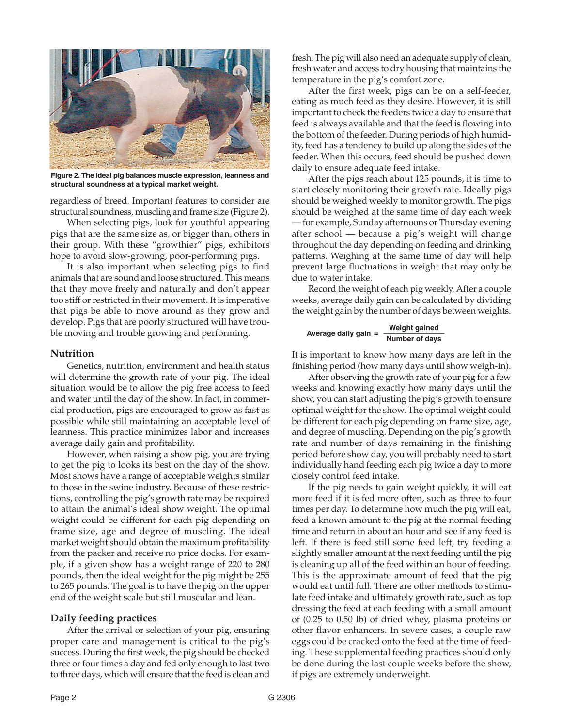

**Figure 2. The ideal pig balances muscle expression, leanness and structural soundness at a typical market weight.**

regardless of breed. Important features to consider are structural soundness, muscling and frame size (Figure 2).

When selecting pigs, look for youthful appearing pigs that are the same size as, or bigger than, others in their group. With these "growthier" pigs, exhibitors hope to avoid slow-growing, poor-performing pigs.

It is also important when selecting pigs to find animals that are sound and loose structured. This means that they move freely and naturally and don't appear too stiff or restricted in their movement. It is imperative that pigs be able to move around as they grow and develop. Pigs that are poorly structured will have trouble moving and trouble growing and performing.

#### **Nutrition**

Genetics, nutrition, environment and health status will determine the growth rate of your pig. The ideal situation would be to allow the pig free access to feed and water until the day of the show. In fact, in commercial production, pigs are encouraged to grow as fast as possible while still maintaining an acceptable level of leanness. This practice minimizes labor and increases average daily gain and profitability.

However, when raising a show pig, you are trying to get the pig to looks its best on the day of the show. Most shows have a range of acceptable weights similar to those in the swine industry. Because of these restrictions, controlling the pig's growth rate may be required to attain the animal's ideal show weight. The optimal weight could be different for each pig depending on frame size, age and degree of muscling. The ideal market weight should obtain the maximum profitability from the packer and receive no price docks. For example, if a given show has a weight range of 220 to 280 pounds, then the ideal weight for the pig might be 255 to 265 pounds. The goal is to have the pig on the upper end of the weight scale but still muscular and lean.

#### **Daily feeding practices**

After the arrival or selection of your pig, ensuring proper care and management is critical to the pig's success. During the first week, the pig should be checked three or four times a day and fed only enough to last two to three days, which will ensure that the feed is clean and

fresh. The pig will also need an adequate supply of clean, fresh water and access to dry housing that maintains the temperature in the pig's comfort zone.

After the first week, pigs can be on a self-feeder, eating as much feed as they desire. However, it is still important to check the feeders twice a day to ensure that feed is always available and that the feed is flowing into the bottom of the feeder. During periods of high humidity, feed has a tendency to build up along the sides of the feeder. When this occurs, feed should be pushed down daily to ensure adequate feed intake.

After the pigs reach about 125 pounds, it is time to start closely monitoring their growth rate. Ideally pigs should be weighed weekly to monitor growth. The pigs should be weighed at the same time of day each week — for example, Sunday afternoons or Thursday evening after school — because a pig's weight will change throughout the day depending on feeding and drinking patterns. Weighing at the same time of day will help prevent large fluctuations in weight that may only be due to water intake.

Record the weight of each pig weekly. After a couple weeks, average daily gain can be calculated by dividing the weight gain by the number of days between weights.

#### **Weight gained Average daily gain = \_\_\_\_\_\_\_\_\_\_\_\_\_\_\_ Number of days**

It is important to know how many days are left in the finishing period (how many days until show weigh-in).

After observing the growth rate of your pig for a few weeks and knowing exactly how many days until the show, you can start adjusting the pig's growth to ensure optimal weight for the show. The optimal weight could be different for each pig depending on frame size, age, and degree of muscling. Depending on the pig's growth rate and number of days remaining in the finishing period before show day, you will probably need to start individually hand feeding each pig twice a day to more closely control feed intake.

If the pig needs to gain weight quickly, it will eat more feed if it is fed more often, such as three to four times per day. To determine how much the pig will eat, feed a known amount to the pig at the normal feeding time and return in about an hour and see if any feed is left. If there is feed still some feed left, try feeding a slightly smaller amount at the next feeding until the pig is cleaning up all of the feed within an hour of feeding. This is the approximate amount of feed that the pig would eat until full. There are other methods to stimulate feed intake and ultimately growth rate, such as top dressing the feed at each feeding with a small amount of (0.25 to 0.50 lb) of dried whey, plasma proteins or other flavor enhancers. In severe cases, a couple raw eggs could be cracked onto the feed at the time of feeding. These supplemental feeding practices should only be done during the last couple weeks before the show, if pigs are extremely underweight.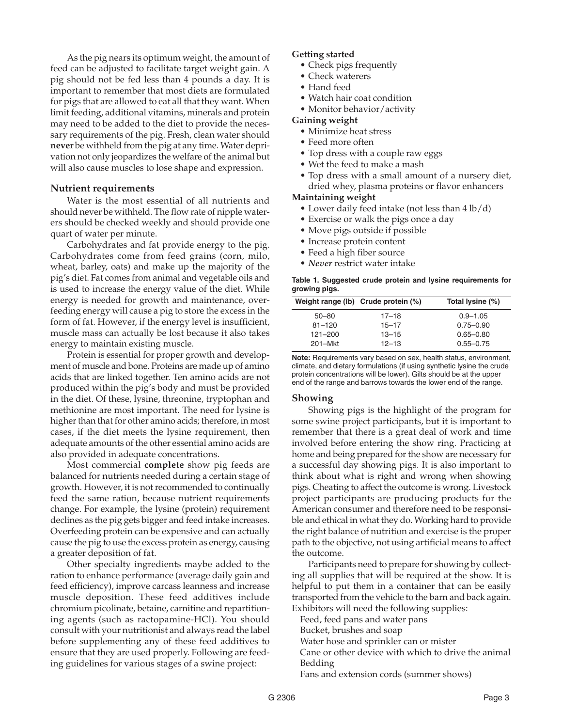As the pig nears its optimum weight, the amount of feed can be adjusted to facilitate target weight gain. A pig should not be fed less than 4 pounds a day. It is important to remember that most diets are formulated for pigs that are allowed to eat all that they want. When limit feeding, additional vitamins, minerals and protein may need to be added to the diet to provide the necessary requirements of the pig. Fresh, clean water should **never** be withheld from the pig at any time. Water deprivation not only jeopardizes the welfare of the animal but will also cause muscles to lose shape and expression.

#### **Nutrient requirements**

Water is the most essential of all nutrients and should never be withheld. The flow rate of nipple waterers should be checked weekly and should provide one quart of water per minute.

Carbohydrates and fat provide energy to the pig. Carbohydrates come from feed grains (corn, milo, wheat, barley, oats) and make up the majority of the pig's diet. Fat comes from animal and vegetable oils and is used to increase the energy value of the diet. While energy is needed for growth and maintenance, overfeeding energy will cause a pig to store the excess in the form of fat. However, if the energy level is insufficient, muscle mass can actually be lost because it also takes energy to maintain existing muscle.

Protein is essential for proper growth and development of muscle and bone. Proteins are made up of amino acids that are linked together. Ten amino acids are not produced within the pig's body and must be provided in the diet. Of these, lysine, threonine, tryptophan and methionine are most important. The need for lysine is higher than that for other amino acids; therefore, in most cases, if the diet meets the lysine requirement, then adequate amounts of the other essential amino acids are also provided in adequate concentrations.

Most commercial **complete** show pig feeds are balanced for nutrients needed during a certain stage of growth. However, it is not recommended to continually feed the same ration, because nutrient requirements change. For example, the lysine (protein) requirement declines as the pig gets bigger and feed intake increases. Overfeeding protein can be expensive and can actually cause the pig to use the excess protein as energy, causing a greater deposition of fat.

Other specialty ingredients maybe added to the ration to enhance performance (average daily gain and feed efficiency), improve carcass leanness and increase muscle deposition. These feed additives include chromium picolinate, betaine, carnitine and repartitioning agents (such as ractopamine-HCl). You should consult with your nutritionist and always read the label before supplementing any of these feed additives to ensure that they are used properly. Following are feeding guidelines for various stages of a swine project:

#### **Getting started**

- Check pigs frequently
- Check waterers
- Hand feed
- Watch hair coat condition
- Monitor behavior/activity

#### **Gaining weight**

- Minimize heat stress
- Feed more often
- Top dress with a couple raw eggs
- Wet the feed to make a mash
- Top dress with a small amount of a nursery diet, dried whey, plasma proteins or flavor enhancers

#### **Maintaining weight**

- Lower daily feed intake (not less than 4 lb/d)
- Exercise or walk the pigs once a day
- Move pigs outside if possible
- Increase protein content
- Feed a high fiber source
- *Never* restrict water intake

**Table 1. Suggested crude protein and lysine requirements for growing pigs.**

| Total lysine (%) |
|------------------|
|                  |
|                  |
|                  |
|                  |
|                  |

**Note:** Requirements vary based on sex, health status, environment, climate, and dietary formulations (if using synthetic lysine the crude protein concentrations will be lower). Gilts should be at the upper end of the range and barrows towards the lower end of the range.

#### **Showing**

Showing pigs is the highlight of the program for some swine project participants, but it is important to remember that there is a great deal of work and time involved before entering the show ring. Practicing at home and being prepared for the show are necessary for a successful day showing pigs. It is also important to think about what is right and wrong when showing pigs. Cheating to affect the outcome is wrong. Livestock project participants are producing products for the American consumer and therefore need to be responsible and ethical in what they do. Working hard to provide the right balance of nutrition and exercise is the proper path to the objective, not using artificial means to affect the outcome.

Participants need to prepare for showing by collecting all supplies that will be required at the show. It is helpful to put them in a container that can be easily transported from the vehicle to the barn and back again. Exhibitors will need the following supplies:

Feed, feed pans and water pans

Bucket, brushes and soap

Water hose and sprinkler can or mister

Cane or other device with which to drive the animal Bedding

Fans and extension cords (summer shows)